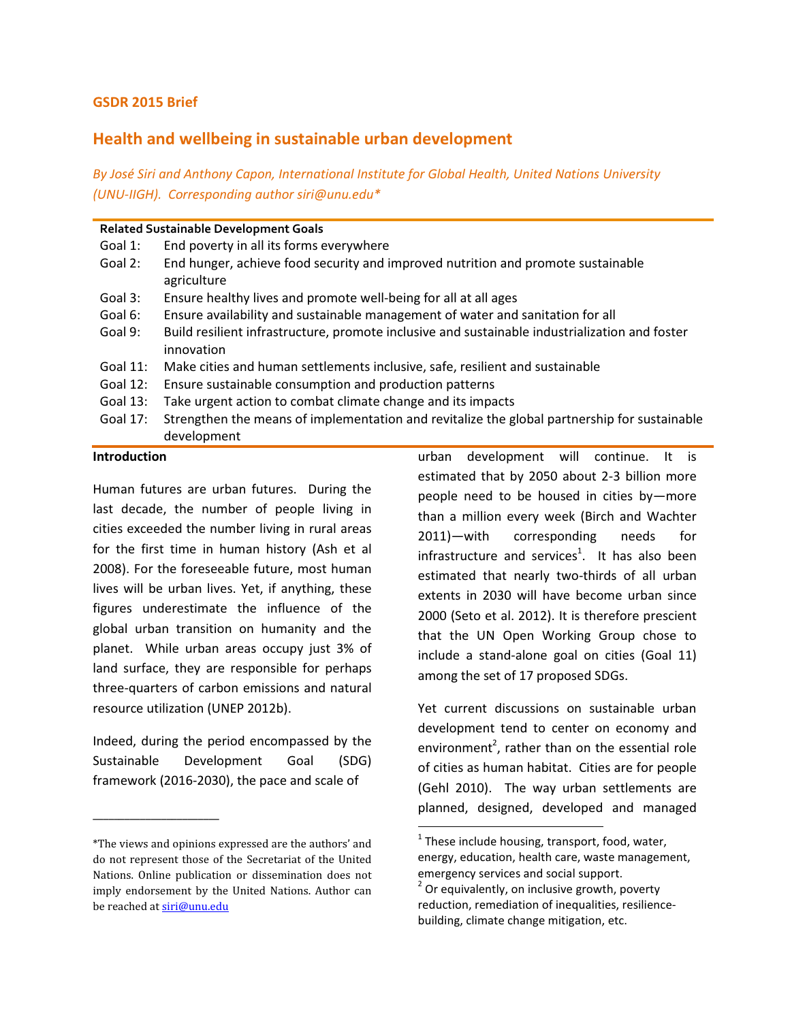## GSDR 2015 Brief

## Health and wellbeing in sustainable urban development

By José Siri and Anthony Capon, International Institute for Global Health, United Nations University (UNU-IIGH). Corresponding author siri@unu.edu\*

| <b>Related Sustainable Development Goals</b> |                                                                                                              |
|----------------------------------------------|--------------------------------------------------------------------------------------------------------------|
| Goal 1:                                      | End poverty in all its forms everywhere                                                                      |
| Goal 2:                                      | End hunger, achieve food security and improved nutrition and promote sustainable<br>agriculture              |
| Goal 3:                                      | Ensure healthy lives and promote well-being for all at all ages                                              |
| Goal 6:                                      | Ensure availability and sustainable management of water and sanitation for all                               |
| Goal 9:                                      | Build resilient infrastructure, promote inclusive and sustainable industrialization and foster<br>innovation |
| Goal $11$ :                                  | Make cities and human settlements inclusive, safe, resilient and sustainable                                 |
| Goal 12:                                     | Ensure sustainable consumption and production patterns                                                       |
| Goal 13:                                     | Take urgent action to combat climate change and its impacts                                                  |
| Goal 17:                                     | Strengthen the means of implementation and revitalize the global partnership for sustainable<br>development  |

-

## **Introduction**

Human futures are urban futures. During the last decade, the number of people living in cities exceeded the number living in rural areas for the first time in human history (Ash et al 2008). For the foreseeable future, most human lives will be urban lives. Yet, if anything, these figures underestimate the influence of the global urban transition on humanity and the planet. While urban areas occupy just 3% of land surface, they are responsible for perhaps three-quarters of carbon emissions and natural resource utilization (UNEP 2012b).

Indeed, during the period encompassed by the Sustainable Development Goal (SDG) framework (2016-2030), the pace and scale of

\_\_\_\_\_\_\_\_\_\_\_\_\_\_\_\_\_\_\_\_\_\_\_\_

urban development will continue. It is estimated that by 2050 about 2-3 billion more people need to be housed in cities by—more than a million every week (Birch and Wachter 2011)—with corresponding needs for infrastructure and services<sup>1</sup>. It has also been estimated that nearly two-thirds of all urban extents in 2030 will have become urban since 2000 (Seto et al. 2012). It is therefore prescient that the UN Open Working Group chose to include a stand-alone goal on cities (Goal 11) among the set of 17 proposed SDGs.

Yet current discussions on sustainable urban development tend to center on economy and environment<sup>2</sup>, rather than on the essential role of cities as human habitat. Cities are for people (Gehl 2010). The way urban settlements are planned, designed, developed and managed

<sup>\*</sup>The views and opinions expressed are the authors' and do not represent those of the Secretariat of the United Nations. Online publication or dissemination does not imply endorsement by the United Nations. Author can be reached at siri@unu.edu

 $1$  These include housing, transport, food, water, energy, education, health care, waste management, emergency services and social support.

 $2^{2}$  Or equivalently, on inclusive growth, poverty reduction, remediation of inequalities, resiliencebuilding, climate change mitigation, etc.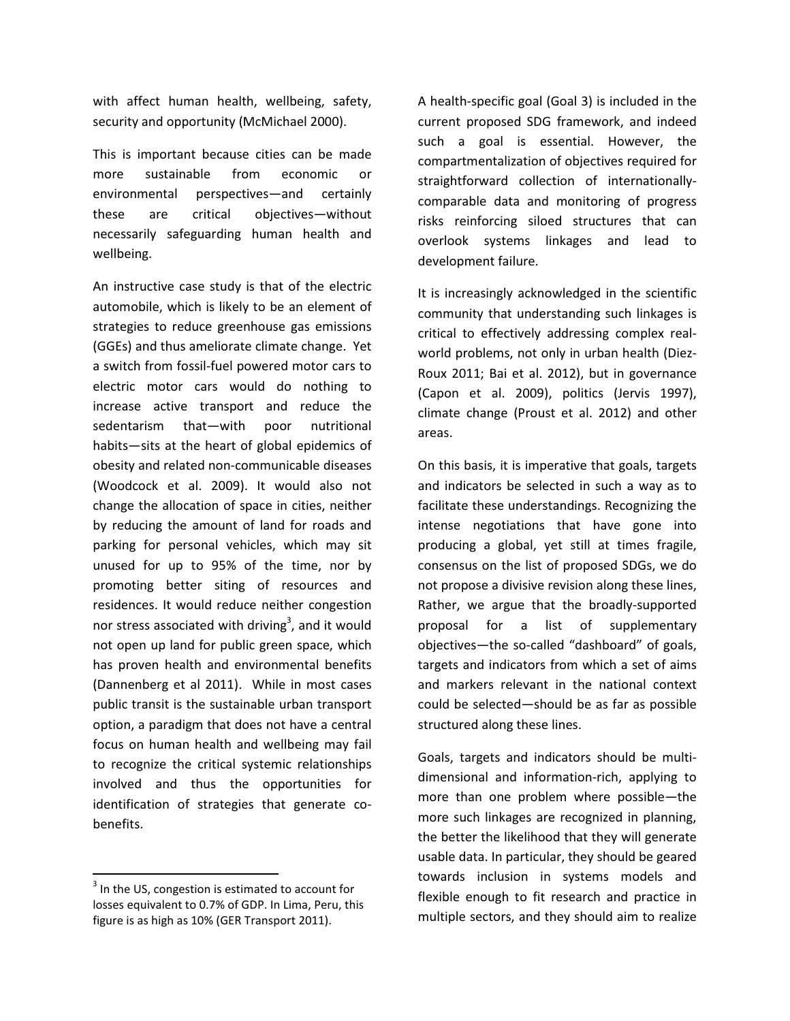with affect human health, wellbeing, safety, security and opportunity (McMichael 2000).

This is important because cities can be made more sustainable from economic or environmental perspectives—and certainly these are critical objectives—without necessarily safeguarding human health and wellbeing.

An instructive case study is that of the electric automobile, which is likely to be an element of strategies to reduce greenhouse gas emissions (GGEs) and thus ameliorate climate change. Yet a switch from fossil-fuel powered motor cars to electric motor cars would do nothing to increase active transport and reduce the sedentarism that—with poor nutritional habits—sits at the heart of global epidemics of obesity and related non-communicable diseases (Woodcock et al. 2009). It would also not change the allocation of space in cities, neither by reducing the amount of land for roads and parking for personal vehicles, which may sit unused for up to 95% of the time, nor by promoting better siting of resources and residences. It would reduce neither congestion nor stress associated with driving<sup>3</sup>, and it would not open up land for public green space, which has proven health and environmental benefits (Dannenberg et al 2011). While in most cases public transit is the sustainable urban transport option, a paradigm that does not have a central focus on human health and wellbeing may fail to recognize the critical systemic relationships involved and thus the opportunities for identification of strategies that generate cobenefits.

.<br>-

A health-specific goal (Goal 3) is included in the current proposed SDG framework, and indeed such a goal is essential. However, the compartmentalization of objectives required for straightforward collection of internationallycomparable data and monitoring of progress risks reinforcing siloed structures that can overlook systems linkages and lead to development failure.

It is increasingly acknowledged in the scientific community that understanding such linkages is critical to effectively addressing complex realworld problems, not only in urban health (Diez-Roux 2011; Bai et al. 2012), but in governance (Capon et al. 2009), politics (Jervis 1997), climate change (Proust et al. 2012) and other areas.

On this basis, it is imperative that goals, targets and indicators be selected in such a way as to facilitate these understandings. Recognizing the intense negotiations that have gone into producing a global, yet still at times fragile, consensus on the list of proposed SDGs, we do not propose a divisive revision along these lines, Rather, we argue that the broadly-supported proposal for a list of supplementary objectives—the so-called "dashboard" of goals, targets and indicators from which a set of aims and markers relevant in the national context could be selected—should be as far as possible structured along these lines.

Goals, targets and indicators should be multidimensional and information-rich, applying to more than one problem where possible—the more such linkages are recognized in planning, the better the likelihood that they will generate usable data. In particular, they should be geared towards inclusion in systems models and flexible enough to fit research and practice in multiple sectors, and they should aim to realize

 $3$  In the US, congestion is estimated to account for losses equivalent to 0.7% of GDP. In Lima, Peru, this figure is as high as 10% (GER Transport 2011).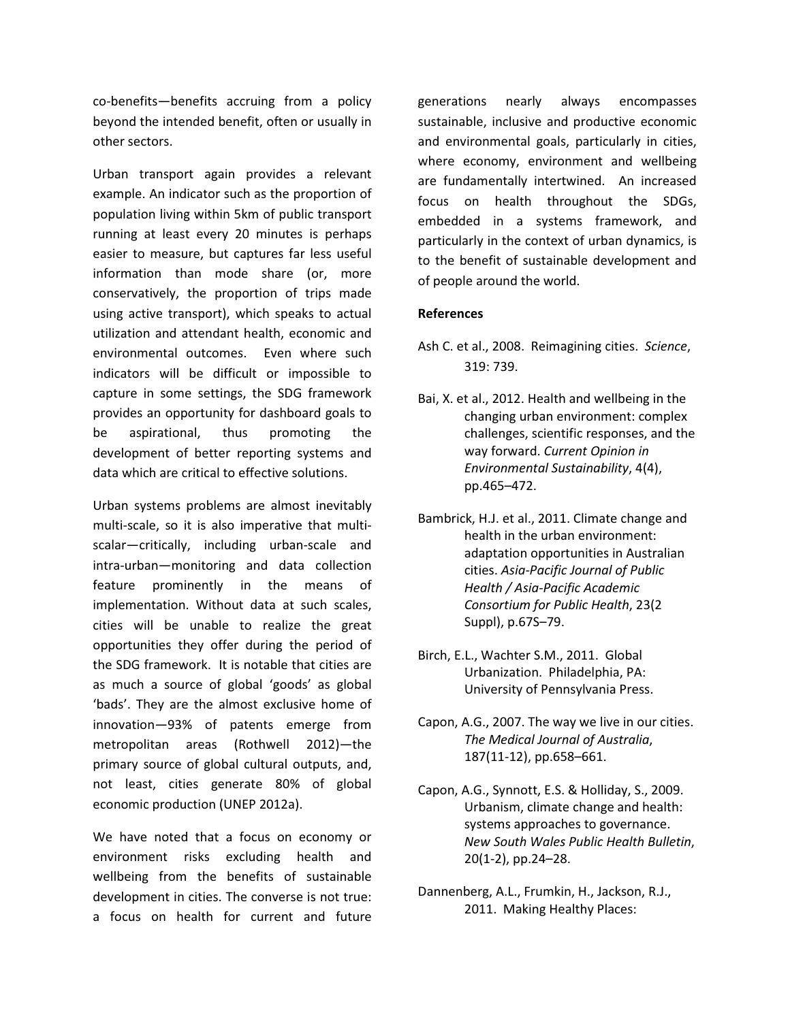co-benefits—benefits accruing from a policy beyond the intended benefit, often or usually in other sectors.

Urban transport again provides a relevant example. An indicator such as the proportion of population living within 5km of public transport running at least every 20 minutes is perhaps easier to measure, but captures far less useful information than mode share (or, more conservatively, the proportion of trips made using active transport), which speaks to actual utilization and attendant health, economic and environmental outcomes. Even where such indicators will be difficult or impossible to capture in some settings, the SDG framework provides an opportunity for dashboard goals to be aspirational, thus promoting the development of better reporting systems and data which are critical to effective solutions.

Urban systems problems are almost inevitably multi-scale, so it is also imperative that multiscalar—critically, including urban-scale and intra-urban—monitoring and data collection feature prominently in the means of implementation. Without data at such scales, cities will be unable to realize the great opportunities they offer during the period of the SDG framework. It is notable that cities are as much a source of global 'goods' as global 'bads'. They are the almost exclusive home of innovation—93% of patents emerge from metropolitan areas (Rothwell 2012)—the primary source of global cultural outputs, and, not least, cities generate 80% of global economic production (UNEP 2012a).

We have noted that a focus on economy or environment risks excluding health and wellbeing from the benefits of sustainable development in cities. The converse is not true: a focus on health for current and future

generations nearly always encompasses sustainable, inclusive and productive economic and environmental goals, particularly in cities, where economy, environment and wellbeing are fundamentally intertwined. An increased focus on health throughout the SDGs, embedded in a systems framework, and particularly in the context of urban dynamics, is to the benefit of sustainable development and of people around the world.

## **References**

- Ash C. et al., 2008. Reimagining cities. Science, 319: 739.
- Bai, X. et al., 2012. Health and wellbeing in the changing urban environment: complex challenges, scientific responses, and the way forward. Current Opinion in Environmental Sustainability, 4(4), pp.465–472.
- Bambrick, H.J. et al., 2011. Climate change and health in the urban environment: adaptation opportunities in Australian cities. Asia-Pacific Journal of Public Health / Asia-Pacific Academic Consortium for Public Health, 23(2 Suppl), p.67S–79.
- Birch, E.L., Wachter S.M., 2011. Global Urbanization. Philadelphia, PA: University of Pennsylvania Press.
- Capon, A.G., 2007. The way we live in our cities. The Medical Journal of Australia, 187(11-12), pp.658–661.
- Capon, A.G., Synnott, E.S. & Holliday, S., 2009. Urbanism, climate change and health: systems approaches to governance. New South Wales Public Health Bulletin, 20(1-2), pp.24–28.
- Dannenberg, A.L., Frumkin, H., Jackson, R.J., 2011. Making Healthy Places: